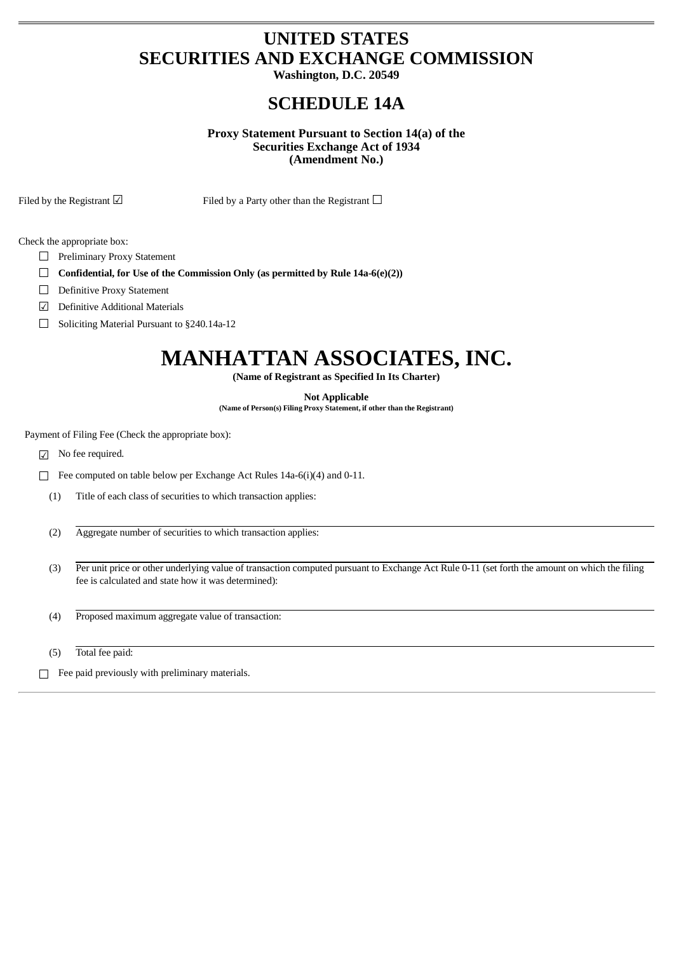## **UNITED STATES SECURITIES AND EXCHANGE COMMISSION**

**Washington, D.C. 20549**

## **SCHEDULE 14A**

### **Proxy Statement Pursuant to Section 14(a) of the Securities Exchange Act of 1934 (Amendment No.)**

Filed by the Registrant  $□$  Filed by a Party other than the Registrant  $□$ 

Check the appropriate box:

- ☐ Preliminary Proxy Statement
- ☐ **Confidential, for Use of the Commission Only (as permitted by Rule 14a-6(e)(2))**
- ☐ Definitive Proxy Statement
- ☑ Definitive Additional Materials
- ☐ Soliciting Material Pursuant to §240.14a-12

# **MANHATTAN ASSOCIATES, INC.**

**(Name of Registrant as Specified In Its Charter)**

**Not Applicable**

**(Name of Person(s) Filing ProxyStatement, if other than the Registrant)**

Payment of Filing Fee (Check the appropriate box):

☑ No fee required.

☐ Fee computed on table below per Exchange Act Rules 14a-6(i)(4) and 0-11.

- (1) Title of each class of securities to which transaction applies:
- (2) Aggregate number of securities to which transaction applies:
- (3) Per unit price or other underlying value of transaction computed pursuant to Exchange Act Rule 0-11 (set forth the amount on which the filing fee is calculated and state how it was determined):
- (4) Proposed maximum aggregate value of transaction:
- (5) Total fee paid:
- ☐ Fee paid previously with preliminary materials.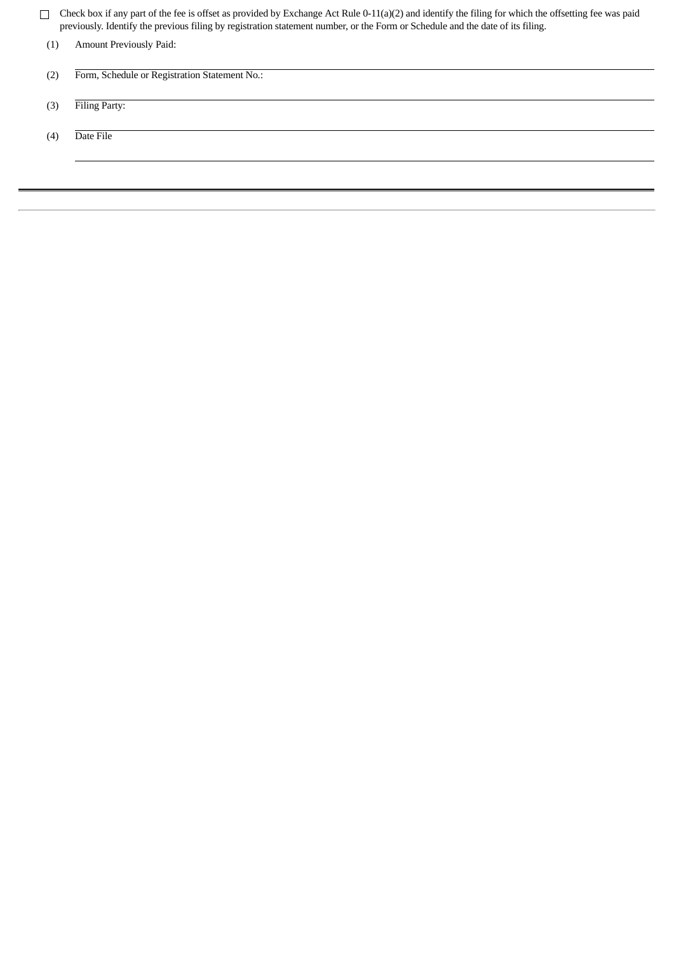☐ Check box if any part of the fee is offset as provided by Exchange Act Rule 0-11(a)(2) and identify the filing for which the offsetting fee was paid previously. Identify the previous filing by registration statement number, or the Form or Schedule and the date of its filing.

| (1) | Amount Previously Paid:                       |
|-----|-----------------------------------------------|
| (2) | Form, Schedule or Registration Statement No.: |
| (3) | Filing Party:                                 |
| (4) | Date File                                     |
|     |                                               |
|     |                                               |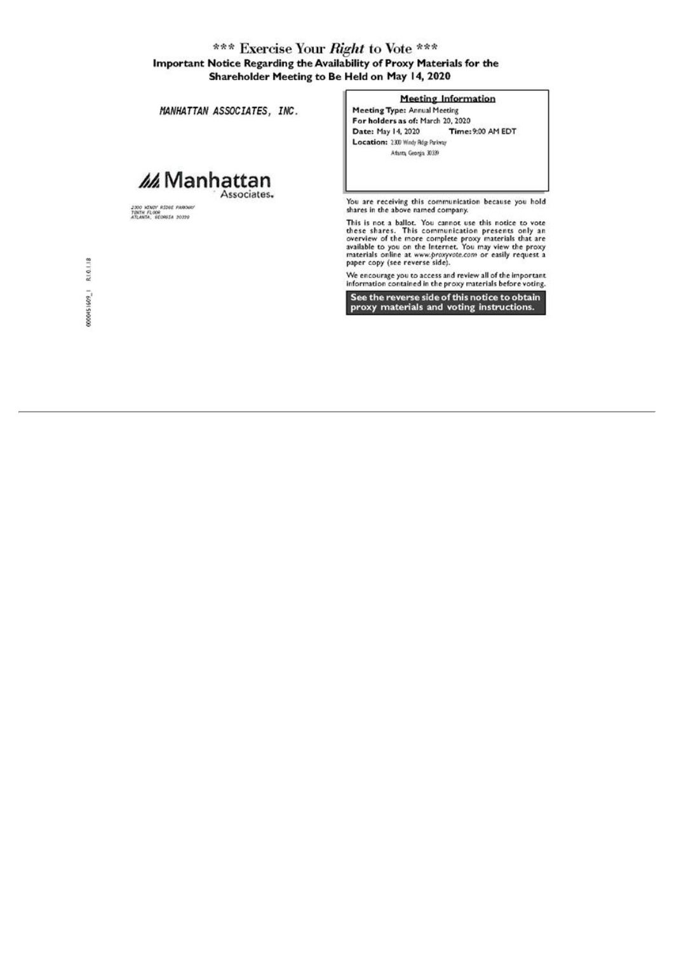### \*\*\* Exercise Your Right to Vote \*\*\* Important Notice Regarding the Availability of Proxy Materials for the Shareholder Meeting to Be Held on May 14, 2020

MANHATTAN ASSOCIATES, INC.

## Manhattan Associates.

2300 WINDY RIDGE PAROGU<br>TENTH FLOOR<br>ATLANTA, GEORGIA 30339

#### **Meeting Information**

Meeting Type: Annual Meeting For holders as of: March 20, 2020 Date: May 14, 2020 Time: 9:00 AM EDT Location: 2300 Windy Rdg Parkway Atanta Georgia 30339

You are receiving this communication because you hold<br>shares in the above named company.

This is not a ballot. You cannot use this notice to vote<br>these shares. This communication presents only an<br>overview of the more complete proxy materials that are<br>available to you on the Internet. You may view the proxy<br>mat

We encourage you to access and review all of the important information contained in the proxy materials before voting.

See the reverse side of this notice to obtain<br>proxy materials and voting instructions.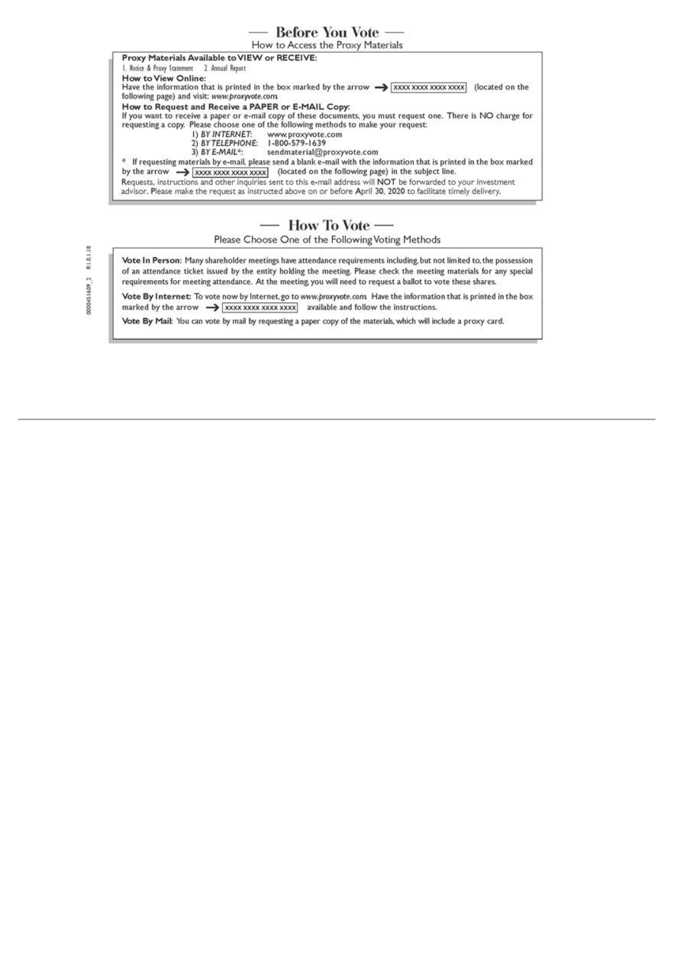## - Before You Vote -

How to Access the Proxy Materials

Proxy Materials Available to VIEW or RECEIVE: Notice & Proxy Statement 2. Annual Report How to View Online: Have the information that is printed in the box marked by the arrow  $\rightarrow$  [XXXX XXXX XXXX XXXX (located on the following page) and visit: www.proxyvote.com How to Request and Receive a PAPER or E-MAIL Copy:<br>If you want to receive a paper or e-mail copy of these documents, you must request one. There is NO charge for<br>requesting a copy. Please choose one of the following method 1) BY INTERNET: www.proxyvote.com<br>2) BY TELEPHONE: 1-800-579-1639 3) BY E-MAIL\*: sendmaterial@proxyvote.com \* If requesting materials by e-mail, please send a blank e-mail with the information that is printed in the box marked Requests, instructions and other inquiries sent to this e-mail address will NOT be forwarded to your investment advisor. Please make the request as instructed above on or before April 30, 2020 to facilitate timely delivery.

## — How To Vote —

Please Choose One of the Following Voting Methods

000451609 2 R1.0.1.18

Vote In Person: Many shareholder meetings have attendance requirements including, but not limited to, the possession of an attendance ticket issued by the entity holding the meeting. Please check the meeting materials for any special requirements for meeting attendance. At the meeting you will need to request a ballot to vote these shares.

Vote By Internet: To vote now by Internet, go to www.proxyvote.com Have the information that is printed in the box marked by the arrow  $\rightarrow$  xxxx xxxx xxxx xxxx available and follow the instructions.

Vote By Mail: You can vote by mail by requesting a paper copy of the materials, which will include a proxy card.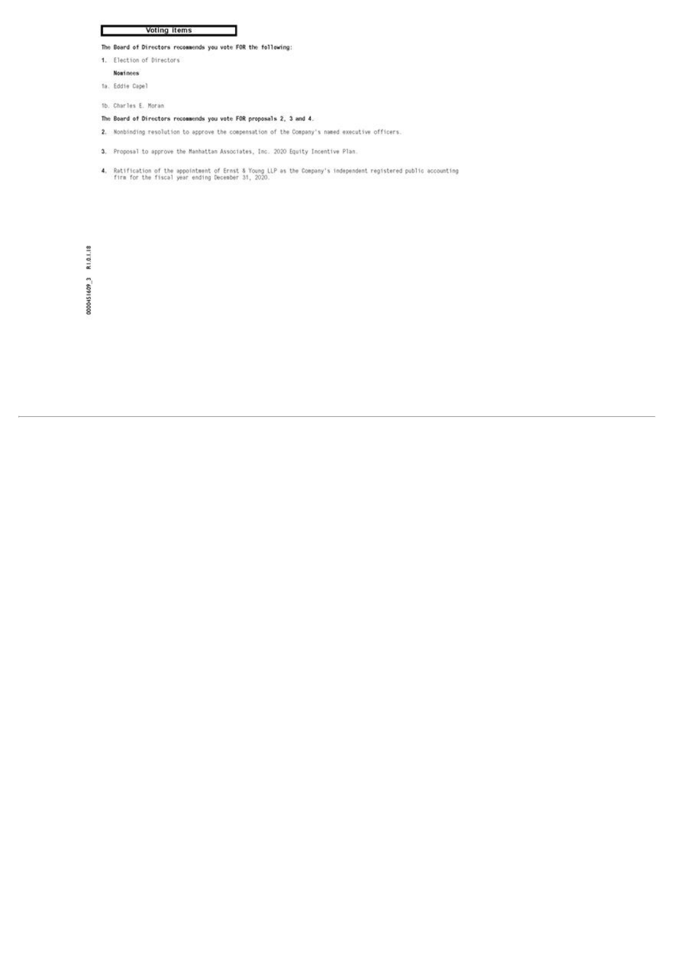#### Voting items

#### The Board of Directors recommends you vote FOR the following:

- 1. Election of Directors
	- Nominees

г

ta. Eddie Capel

1b. Charles E. Moran

#### The Board of Directors recommends you vote FOR proposals 2, 3 and 4.

- 2. Nonbinding resolution to approve the compensation of the Company's named executive officers.
- 3. Proposal to approve the Manhattan Associates, Inc. 2020 Equity Incentive Plan.
- 4. Ratification of the appointment of Ernst & Young LLP as the Company's independent registered public accounting<br>firm for the fiscal year ending December 31, 2020.